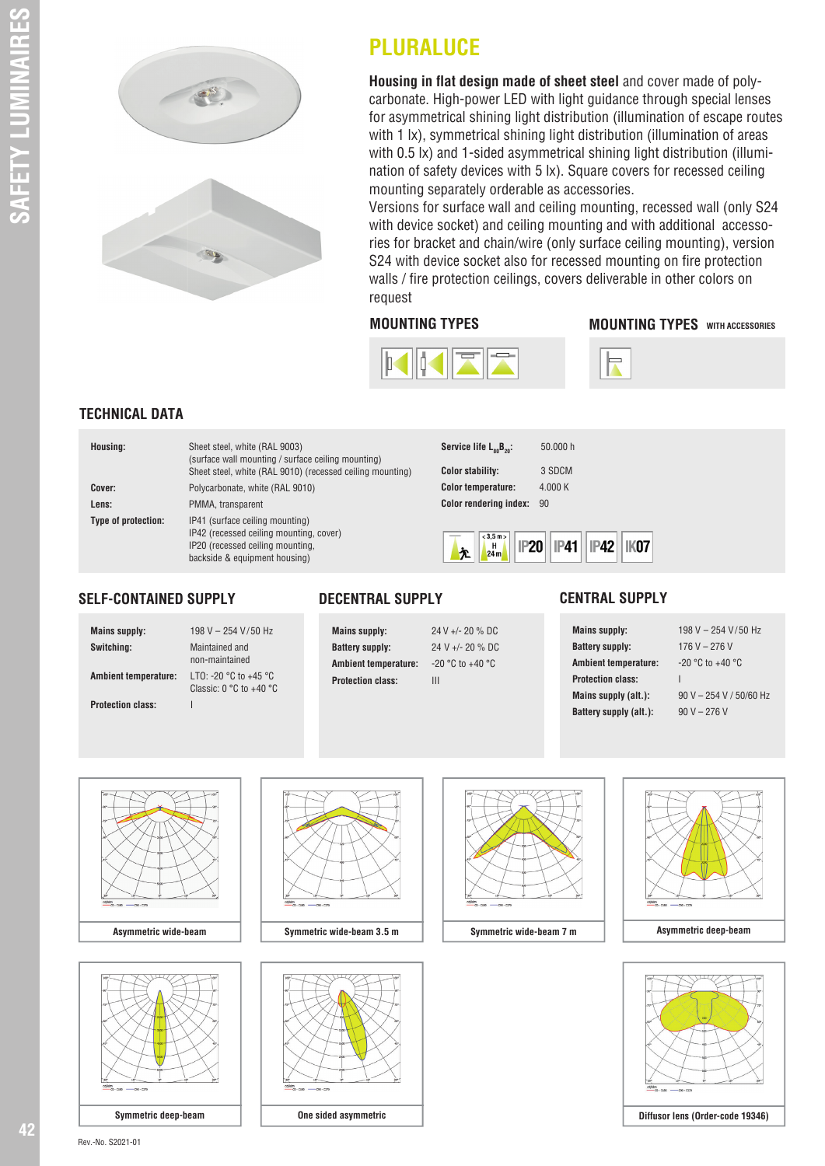

# **PLURALUCE**

**Housing in flat design made of sheet steel** and cover made of polycarbonate. High-power LED with light guidance through special lenses for asymmetrical shining light distribution (illumination of escape routes with 1 lx), symmetrical shining light distribution (illumination of areas with 0.5 lx) and 1-sided asymmetrical shining light distribution (illumination of safety devices with 5 lx). Square covers for recessed ceiling mounting separately orderable as accessories.

Versions for surface wall and ceiling mounting, recessed wall (only S24 with device socket) and ceiling mounting and with additional accessories for bracket and chain/wire (only surface ceiling mounting), version S24 with device socket also for recessed mounting on fire protection walls / fire protection ceilings, covers deliverable in other colors on request

#### **MOUNTING TYPES MOUNTING TYPES** WITH ACCESSORIES





## **TECHNICAL DATA**

| Housing:            | Sheet steel, white (RAL 9003)<br>(surface wall mounting / surface ceiling mounting)<br>Sheet steel, white (RAL 9010) (recessed ceiling mounting) |
|---------------------|--------------------------------------------------------------------------------------------------------------------------------------------------|
| Cover:              | Polycarbonate, white (RAL 9010)                                                                                                                  |
| Lens:               | PMMA, transparent                                                                                                                                |
| Type of protection: | IP41 (surface ceiling mounting)<br>IP42 (recessed ceiling mounting, cover)<br>IP20 (recessed ceiling mounting,<br>backside & equipment housing)  |

| Service life $L_{so}B_{20}$ : | 50,000 h |
|-------------------------------|----------|
| <b>Color stability:</b>       | 3 SDCM   |
| <b>Color temperature:</b>     | 4.000 K  |
| <b>Color rendering index:</b> | 90       |
|                               |          |



#### **SELF-CONTAINED SUPPLY**

**Mains supply:** 198 V – 254 V/50 Hz **Switching:** Maintained and **Ambient temperature:** LTO: -20 °C to +45 °C **Protection class:** I

 non-maintained Classic: 0 °C to + 40 °C



**DECENTRAL SUPPLY**

**CENTRAL SUPPLY**

**Mains supply:** 198 V – 254 V/50 Hz **Battery supply:** 176 V – 276 V **Ambient temperature:** -20 °C to +40 °C **Protection class:** I **Mains supply (alt.):** 90 V – 254 V / 50/60 Hz **Battery supply (alt.):**  $90 V - 276 V$ 











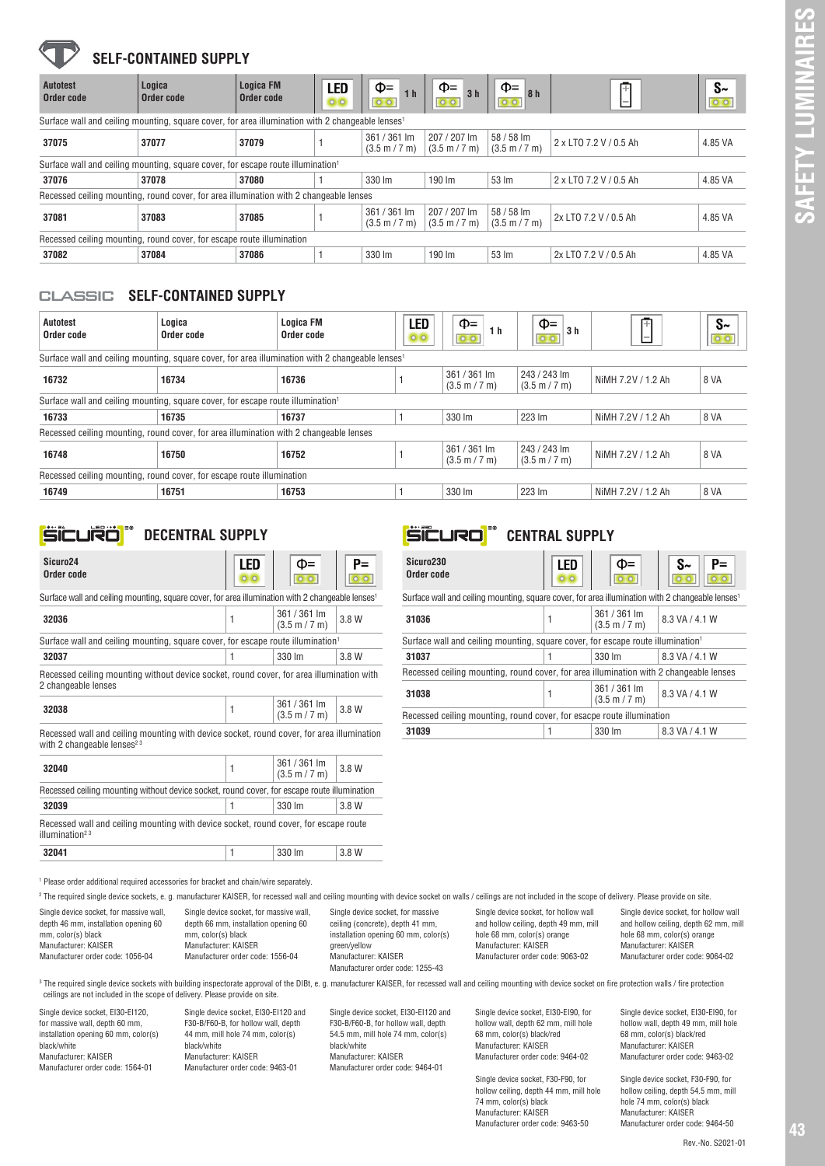## **SELF-CONTAINED SUPPLY**

| <b>Autotest</b><br>Order code | Logica<br>Order code                                                                                         | <b>Logica FM</b><br>Order code | LED<br>OO | $\Phi$ =<br>1 <sub>h</sub>    | $\Phi$ =<br>3 <sub>h</sub><br>$O$ $O$           | $\Phi$ =<br>8h                                | Ŧ<br>$\overline{\phantom{0}}$ | $S_{\sim}$<br>$O$ $O$ |
|-------------------------------|--------------------------------------------------------------------------------------------------------------|--------------------------------|-----------|-------------------------------|-------------------------------------------------|-----------------------------------------------|-------------------------------|-----------------------|
|                               | Surface wall and ceiling mounting, square cover, for area illumination with 2 changeable lenses <sup>1</sup> |                                |           |                               |                                                 |                                               |                               |                       |
| 37075                         | 37077                                                                                                        | 37079                          |           | 361 / 361 lm<br>(3.5 m / 7 m) | 207 / 207 lm<br>$(3.5 \text{ m} / 7 \text{ m})$ | 58 / 58 lm<br>$(3.5 \text{ m} / 7 \text{ m})$ | 2 x LTO 7.2 V / 0.5 Ah        | 4.85 VA               |
|                               | Surface wall and ceiling mounting, square cover, for escape route illumination <sup>1</sup>                  |                                |           |                               |                                                 |                                               |                               |                       |
| 37076                         | 37078                                                                                                        | 37080                          |           | 330 lm                        | 190 lm                                          | 53 lm                                         | 2 x LTO 7.2 V / 0.5 Ah        | 4.85 VA               |
|                               | Recessed ceiling mounting, round cover, for area illumination with 2 changeable lenses                       |                                |           |                               |                                                 |                                               |                               |                       |
| 37081                         | 37083                                                                                                        | 37085                          |           | 361 / 361 lm<br>(3.5 m / 7 m) | 207 / 207 lm<br>$(3.5 \text{ m} / 7 \text{ m})$ | 58 / 58 lm<br>$(3.5 \text{ m} / 7 \text{ m})$ | 2x LTO 7.2 V / 0.5 Ah         | 4.85 VA               |
|                               | Recessed ceiling mounting, round cover, for escape route illumination                                        |                                |           |                               |                                                 |                                               |                               |                       |
| 37082                         | 37084                                                                                                        | 37086                          |           | 330 lm                        | 190 lm                                          | 53 lm                                         | 2x LTO 7.2 V / 0.5 Ah         | 4.85 VA               |
| <b>CLASSIC</b><br>Autotest    | <b>SELF-CONTAINED SUPPLY</b><br>Logica                                                                       |                                | Logica FM | LFD                           | $\Phi$ =                                        |                                               | 中<br>$\Phi$ =                 | $S_{\sim}$            |

### classic **SELF-CONTAINED SUPPLY**

| Autotest<br>Order code                                                                 | Logica<br>Order code                                                                                         | Logica FM<br>Order code | LED<br>00 | $\Phi$ =<br>1 h                                 | $\Phi$ =<br>3 <sub>h</sub>                      | Ŧ                  | $S_{\sim}$ |
|----------------------------------------------------------------------------------------|--------------------------------------------------------------------------------------------------------------|-------------------------|-----------|-------------------------------------------------|-------------------------------------------------|--------------------|------------|
|                                                                                        | Surface wall and ceiling mounting, square cover, for area illumination with 2 changeable lenses <sup>1</sup> |                         |           |                                                 |                                                 |                    |            |
| 16732                                                                                  | 16734                                                                                                        | 16736                   |           | 361 / 361 lm<br>$(3.5 \text{ m} / 7 \text{ m})$ | 243 / 243 lm<br>$(3.5 \text{ m} / 7 \text{ m})$ | NiMH 7.2V / 1.2 Ah | 8 VA       |
|                                                                                        | Surface wall and ceiling mounting, square cover, for escape route illumination <sup>1</sup>                  |                         |           |                                                 |                                                 |                    |            |
| 16733                                                                                  | 16735                                                                                                        | 16737                   |           | 330 lm                                          | 223 lm                                          | NiMH 7.2V / 1.2 Ah | 8 VA       |
| Recessed ceiling mounting, round cover, for area illumination with 2 changeable lenses |                                                                                                              |                         |           |                                                 |                                                 |                    |            |
| 16748                                                                                  | 16750                                                                                                        | 16752                   |           | 361 / 361 lm<br>$(3.5 \text{ m} / 7 \text{ m})$ | 243 / 243 lm<br>$(3.5 \text{ m} / 7 \text{ m})$ | NiMH 7.2V / 1.2 Ah | 8 VA       |
| Recessed ceiling mounting, round cover, for escape route illumination                  |                                                                                                              |                         |           |                                                 |                                                 |                    |            |
| 16749                                                                                  | 16751                                                                                                        | 16753                   |           | 330 lm                                          | 223 lm                                          | NiMH 7.2V / 1.2 Ah | 8 VA       |

## **DECENTRAL SUPPLY**

| Sicuro <sub>24</sub><br>Order code                                                                              | LED<br>$O$ $O$ | Ф=                                              | P=    |
|-----------------------------------------------------------------------------------------------------------------|----------------|-------------------------------------------------|-------|
| Surface wall and ceiling mounting, square cover, for area illumination with 2 changeable lenses <sup>1</sup>    |                |                                                 |       |
| 32036                                                                                                           | 1              | 361 / 361 lm<br>$(3.5 \text{ m} / 7 \text{ m})$ | 3.8 W |
| Surface wall and ceiling mounting, square cover, for escape route illumination <sup>1</sup>                     |                |                                                 |       |
| 32037                                                                                                           |                | 330 lm                                          | 3.8 W |
| Recessed ceiling mounting without device socket, round cover, for area illumination with<br>2 changeable lenses |                |                                                 |       |
| 32038                                                                                                           | 1              | 361 / 361 lm<br>$(3.5 \text{ m} / 7 \text{ m})$ | 3.8 W |
| .                                                                                                               |                |                                                 |       |

Recessed wall and ceiling mounting with device socket, round cover, for area illumination with 2 changeable lenses $23$ 

| 32040                                                                                                              |  | 361 / 361 lm<br>(3.5 m / 7 m) | 3.8 W |  |  |  |  |
|--------------------------------------------------------------------------------------------------------------------|--|-------------------------------|-------|--|--|--|--|
| Recessed ceiling mounting without device socket, round cover, for escape route illumination                        |  |                               |       |  |  |  |  |
| 32039                                                                                                              |  | 330 lm                        | 3.8 W |  |  |  |  |
| Recessed wall and ceiling mounting with device socket, round cover, for escape route<br>illumination <sup>23</sup> |  |                               |       |  |  |  |  |
| 32041                                                                                                              |  | 330 lm                        | 3.8 W |  |  |  |  |

# **CENTRAL SUPPLY**

| Sicuro230<br>Order code                                                                                      | LED<br>$\circ$ $\circ$ | Ф=                                              | $S_{\sim}$<br>P= |  |  |
|--------------------------------------------------------------------------------------------------------------|------------------------|-------------------------------------------------|------------------|--|--|
| Surface wall and ceiling mounting, square cover, for area illumination with 2 changeable lenses <sup>1</sup> |                        |                                                 |                  |  |  |
| 31036                                                                                                        | 1                      | 361 / 361 lm<br>$(3.5 \text{ m} / 7 \text{ m})$ | 8.3 VA / 4.1 W   |  |  |
| Surface wall and ceiling mounting, square cover, for escape route illumination <sup>1</sup>                  |                        |                                                 |                  |  |  |
| 31037                                                                                                        |                        | 330 lm                                          | 8.3 VA / 4.1 W   |  |  |
| Recessed ceiling mounting, round cover, for area illumination with 2 changeable lenses                       |                        |                                                 |                  |  |  |
| 31038                                                                                                        |                        | 361 / 361 lm<br>$(3.5 \text{ m} / 7 \text{ m})$ | 8.3 VA / 4.1 W   |  |  |
| Recessed ceiling mounting, round cover, for esacpe route illumination                                        |                        |                                                 |                  |  |  |
| 31039                                                                                                        |                        | 330 lm                                          | 8.3 VA / 4.1 W   |  |  |
|                                                                                                              |                        |                                                 |                  |  |  |

1 Please order additional required accessories for bracket and chain/wire separately.

 $^{\rm 2}$  The required single device sockets, e. g. manufacturer KAISER, for recessed wall and ceiling mounting with device socket on walls / ceilings are not included in the scope of delivery. Please provide on site.

| Single device socket, for massive wall, | Single device socket, for massive wall. | Single device socket, for massive    | Single device socket, for hollow wall |
|-----------------------------------------|-----------------------------------------|--------------------------------------|---------------------------------------|
| depth 46 mm, installation opening 60    | depth 66 mm. installation opening 60    | ceiling (concrete), depth 41 mm,     | and hollow ceiling, depth 49 mm, mill |
| mm, color(s) black                      | mm, color(s) black                      | installation opening 60 mm, color(s) | hole 68 mm, color(s) orange           |
| Manufacturer: KAISER                    | Manufacturer: KAISER                    | green/yellow                         | Manufacturer: KAISER                  |
| Manufacturer order code: 1056-04        | Manufacturer order code: 1556-04        | Manufacturer: KAISER                 | Manufacturer order code: 9063-02      |
|                                         |                                         | Manufacturer order code: 1255-43     |                                       |

Single device socket, for hollow wall and hollow ceiling, depth 62 mm, mill hole 68 mm, color(s) orange Manufacturer: KAISER Manufacturer order code: 9064-02

 $^{\rm 3}$  The required single device sockets with building inspectorate approval of the DIBt, e. g. manufacturer KAISER, for recessed wall and ceiling mounting with device socket on fire protection walls / fire protection ceilings are not included in the scope of delivery. Please provide on site.

Single device socket, EI30-EI120, for massive wall, depth 60 mm, installation opening 60 mm, color(s) black/white Manufacturer: KAISER Manufacturer order code: 1564-01

Single device socket, EI30-EI120 and F30-B/F60-B, for hollow wall, depth 44 mm, mill hole 74 mm, color(s) black/white Manufacturer: KAISER Manufacturer order code: 9463-01

Single device socket, EI30-EI120 and F30-B/F60-B, for hollow wall, depth 54.5 mm, mill hole 74 mm, color(s) black/white Manufacturer: KAISER Manufacturer order code: 9464-01

Single device socket, EI30-EI90, for hollow wall, depth 62 mm, mill hole 68 mm, color(s) black/red Manufacturer: KAISER Manufacturer order code: 9464-02

Single device socket, F30-F90, for hollow ceiling, depth 44 mm, mill hole 74 mm, color(s) black Manufacturer: KAISER Manufacturer order code: 9463-50

Single device socket, EI30-EI90, for hollow wall, depth 49 mm, mill hole 68 mm, color(s) black/red

Manufacturer: KAISER Manufacturer order code: 9463-02 Single device socket, F30-F90, for

hollow ceiling, depth 54.5 mm, mill hole 74 mm, color(s) black Manufacturer: KAISER Manufacturer order code: 9464-50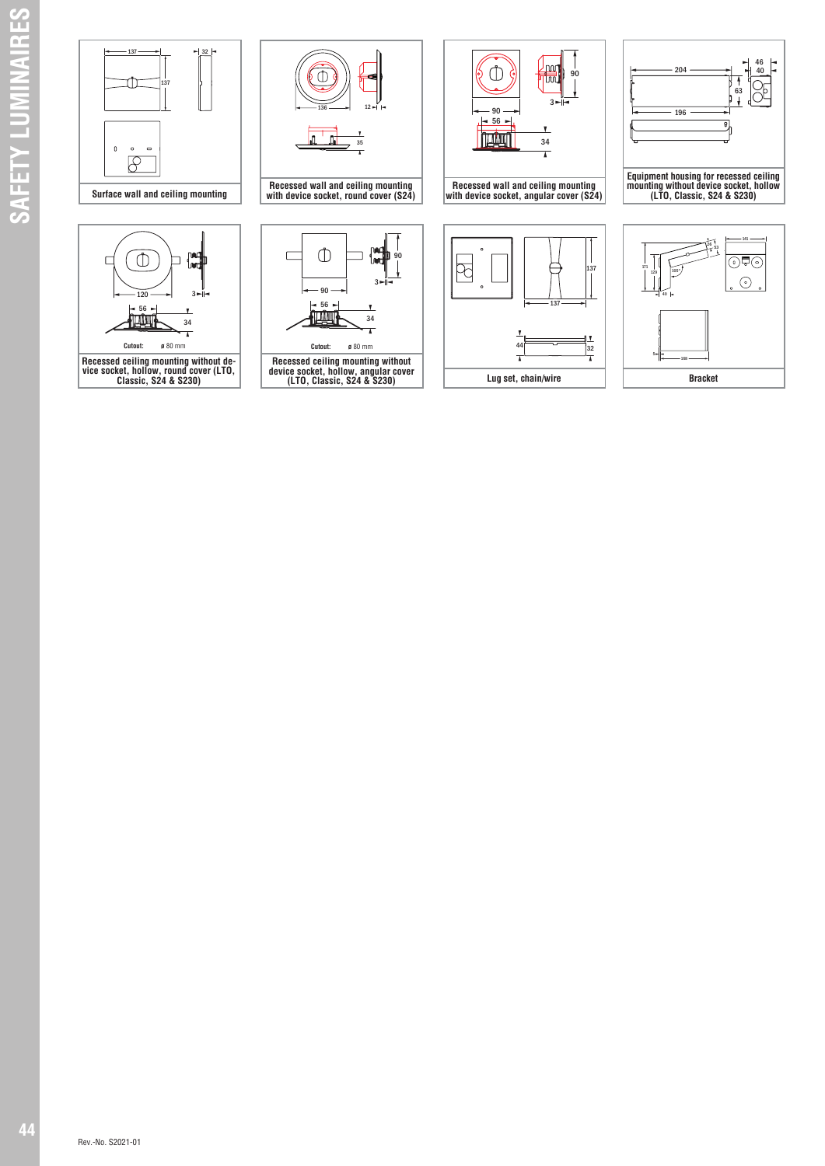

 $\overline{1}$ 

**Cutout: ø** 80 mm **Cutout: ø** 80 mm

**Recessed ceiling mounting without de- vice socket, hollow, round cover (LTO, Classic, S24 & S230)**

- 56 -<br>Tilli



**Recessed ceiling mounting without device socket, hollow, angular cover (LTO, Classic, S24 & S230)**



**Recessed wall and ceiling mounting with device socket, angular cover (S24)**